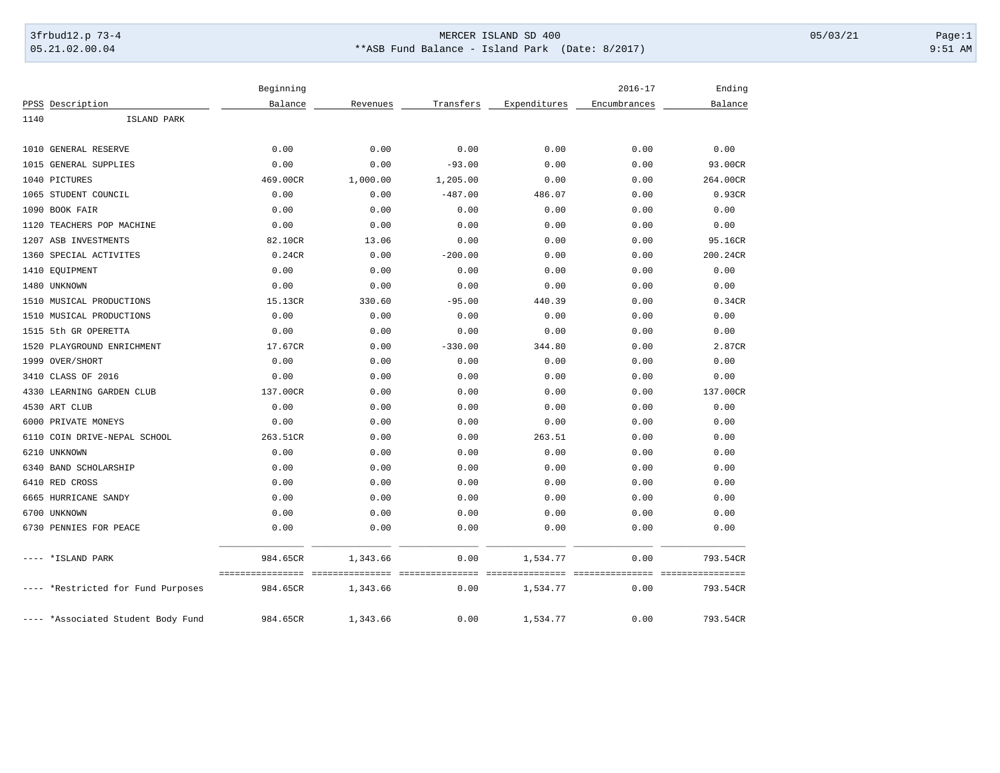## 3frbud12.p 73-4 Page:1 Page:1 05.21.02.00.04 \*\*ASB Fund Balance - Island Park (Date: 8/2017) 9:51 AM

|      |                                    | Beginning                |                            |                         |                           | $2016 - 17$  | Ending                      |
|------|------------------------------------|--------------------------|----------------------------|-------------------------|---------------------------|--------------|-----------------------------|
|      | PPSS Description                   | Balance                  | Revenues                   | Transfers               | Expenditures              | Encumbrances | Balance                     |
| 1140 | ISLAND PARK                        |                          |                            |                         |                           |              |                             |
|      |                                    |                          |                            |                         |                           |              |                             |
|      | 1010 GENERAL RESERVE               | 0.00                     | 0.00                       | 0.00                    | 0.00                      | 0.00         | 0.00                        |
| 1015 | <b>GENERAL SUPPLIES</b>            | 0.00                     | 0.00                       | $-93.00$                | 0.00                      | 0.00         | 93.00CR                     |
| 1040 | PICTURES                           | 469.00CR                 | 1,000.00                   | 1,205.00                | 0.00                      | 0.00         | 264.00CR                    |
|      | 1065 STUDENT COUNCIL               | 0.00                     | 0.00                       | $-487.00$               | 486.07                    | 0.00         | 0.93CR                      |
| 1090 | BOOK FAIR                          | 0.00                     | 0.00                       | 0.00                    | 0.00                      | 0.00         | 0.00                        |
| 1120 | TEACHERS POP MACHINE               | 0.00                     | 0.00                       | 0.00                    | 0.00                      | 0.00         | 0.00                        |
|      | 1207 ASB INVESTMENTS               | 82.10CR                  | 13.06                      | 0.00                    | 0.00                      | 0.00         | 95.16CR                     |
| 1360 | SPECIAL ACTIVITES                  | 0.24CR                   | 0.00                       | $-200.00$               | 0.00                      | 0.00         | 200.24CR                    |
|      | 1410 EQUIPMENT                     | 0.00                     | 0.00                       | 0.00                    | 0.00                      | 0.00         | 0.00                        |
|      | 1480 UNKNOWN                       | 0.00                     | 0.00                       | 0.00                    | 0.00                      | 0.00         | 0.00                        |
|      | 1510 MUSICAL PRODUCTIONS           | 15.13CR                  | 330.60                     | $-95.00$                | 440.39                    | 0.00         | 0.34CR                      |
|      | 1510 MUSICAL PRODUCTIONS           | 0.00                     | 0.00                       | 0.00                    | 0.00                      | 0.00         | 0.00                        |
|      | 1515 5th GR OPERETTA               | 0.00                     | 0.00                       | 0.00                    | 0.00                      | 0.00         | 0.00                        |
| 1520 | PLAYGROUND ENRICHMENT              | 17.67CR                  | 0.00                       | $-330.00$               | 344.80                    | 0.00         | 2.87CR                      |
|      | 1999 OVER/SHORT                    | 0.00                     | 0.00                       | 0.00                    | 0.00                      | 0.00         | 0.00                        |
| 3410 | CLASS OF 2016                      | 0.00                     | 0.00                       | 0.00                    | 0.00                      | 0.00         | 0.00                        |
| 4330 | LEARNING GARDEN CLUB               | 137.00CR                 | 0.00                       | 0.00                    | 0.00                      | 0.00         | 137.00CR                    |
|      | 4530 ART CLUB                      | 0.00                     | 0.00                       | 0.00                    | 0.00                      | 0.00         | 0.00                        |
|      | 6000 PRIVATE MONEYS                | 0.00                     | 0.00                       | 0.00                    | 0.00                      | 0.00         | 0.00                        |
| 6110 | COIN DRIVE-NEPAL SCHOOL            | 263.51CR                 | 0.00                       | 0.00                    | 263.51                    | 0.00         | 0.00                        |
| 6210 | UNKNOWN                            | 0.00                     | 0.00                       | 0.00                    | 0.00                      | 0.00         | 0.00                        |
|      | 6340 BAND SCHOLARSHIP              | 0.00                     | 0.00                       | 0.00                    | 0.00                      | 0.00         | 0.00                        |
|      | 6410 RED CROSS                     | 0.00                     | 0.00                       | 0.00                    | 0.00                      | 0.00         | 0.00                        |
|      | 6665 HURRICANE SANDY               | 0.00                     | 0.00                       | 0.00                    | 0.00                      | 0.00         | 0.00                        |
|      | 6700 UNKNOWN                       | 0.00                     | 0.00                       | 0.00                    | 0.00                      | 0.00         | 0.00                        |
|      | 6730 PENNIES FOR PEACE             | 0.00                     | 0.00                       | 0.00                    | 0.00                      | 0.00         | 0.00                        |
|      | *ISLAND PARK                       | 984.65CR<br>============ | 1,343.66<br>============== | 0.00<br>=============== | 1,534.77<br>============= | 0.00         | 793.54CR<br>=============== |
|      | ---- *Restricted for Fund Purposes | 984.65CR                 | 1,343.66                   | 0.00                    | 1,534.77                  | 0.00         | 793.54CR                    |
|      | ---- *Associated Student Body Fund | 984.65CR                 | 1,343.66                   | 0.00                    | 1,534.77                  | 0.00         | 793.54CR                    |